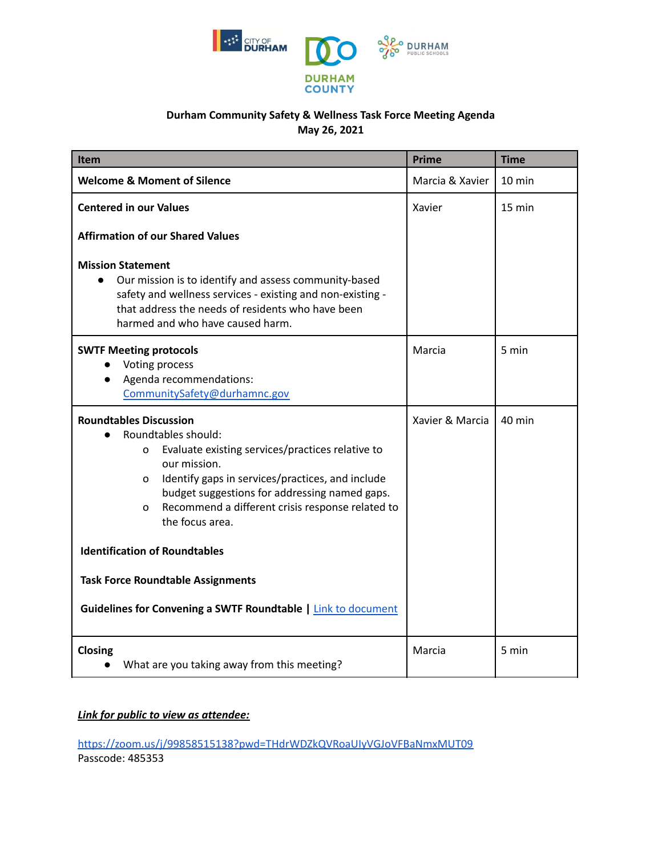

## **Durham Community Safety & Wellness Task Force Meeting Agenda May 26, 2021**

| Item                                                                                                                                                                                                                                                                                                                                                                                                                                                                            | <b>Prime</b>    | <b>Time</b>      |
|---------------------------------------------------------------------------------------------------------------------------------------------------------------------------------------------------------------------------------------------------------------------------------------------------------------------------------------------------------------------------------------------------------------------------------------------------------------------------------|-----------------|------------------|
| <b>Welcome &amp; Moment of Silence</b>                                                                                                                                                                                                                                                                                                                                                                                                                                          | Marcia & Xavier | $10 \text{ min}$ |
| <b>Centered in our Values</b>                                                                                                                                                                                                                                                                                                                                                                                                                                                   | Xavier          | 15 min           |
| <b>Affirmation of our Shared Values</b>                                                                                                                                                                                                                                                                                                                                                                                                                                         |                 |                  |
| <b>Mission Statement</b><br>Our mission is to identify and assess community-based<br>safety and wellness services - existing and non-existing -<br>that address the needs of residents who have been<br>harmed and who have caused harm.                                                                                                                                                                                                                                        |                 |                  |
| <b>SWTF Meeting protocols</b><br>Voting process<br>Agenda recommendations:<br>CommunitySafety@durhamnc.gov                                                                                                                                                                                                                                                                                                                                                                      | Marcia          | 5 min            |
| <b>Roundtables Discussion</b><br>Roundtables should:<br>Evaluate existing services/practices relative to<br>O<br>our mission.<br>Identify gaps in services/practices, and include<br>0<br>budget suggestions for addressing named gaps.<br>Recommend a different crisis response related to<br>O<br>the focus area.<br><b>Identification of Roundtables</b><br><b>Task Force Roundtable Assignments</b><br><b>Guidelines for Convening a SWTF Roundtable   Link to document</b> | Xavier & Marcia | 40 min           |
| Closing<br>What are you taking away from this meeting?                                                                                                                                                                                                                                                                                                                                                                                                                          | Marcia          | 5 min            |

## *Link for public to view as attendee:*

<https://zoom.us/j/99858515138?pwd=THdrWDZkQVRoaUIyVGJoVFBaNmxMUT09> Passcode: 485353